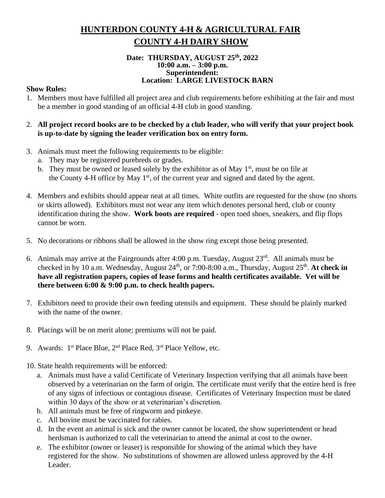# **HUNTERDON COUNTY 4-H & AGRICULTURAL FAIR COUNTY 4-H DAIRY SHOW**

#### **Date: THURSDAY, AUGUST 25 th, 2022 10:00 a.m. – 3:00 p.m. Superintendent: Location: LARGE LIVESTOCK BARN**

#### **Show Rules:**

- 1. Members must have fulfilled all project area and club requirements before exhibiting at the fair and must be a member in good standing of an official 4-H club in good standing.
- 2. **All project record books are to be checked by a club leader, who will verify that your project book is up-to-date by signing the leader verification box on entry form.**
- 3. Animals must meet the following requirements to be eligible:
	- a. They may be registered purebreds or grades.
	- b. They must be owned or leased solely by the exhibitor as of May  $1<sup>st</sup>$ , must be on file at the County 4-H office by May  $1<sup>st</sup>$ , of the current year and signed and dated by the agent.
- 4. Members and exhibits should appear neat at all times. White outfits are requested for the show (no shorts or skirts allowed). Exhibitors must not wear any item which denotes personal herd, club or county identification during the show. **Work boots are required** - open toed shoes, sneakers, and flip flops cannot be worn.
- 5. No decorations or ribbons shall be allowed in the show ring except those being presented.
- 6. Animals may arrive at the Fairgrounds after  $4:00$  p.m. Tuesday, August  $23<sup>rd</sup>$ . All animals must be checked in by 10 a.m. Wednesday, August 24<sup>th</sup>, or 7:00-8:00 a.m., Thursday, August 25<sup>th</sup>. At check in **have all registration papers, copies of lease forms and health certificates available. Vet will be there between 6:00 & 9:00 p.m. to check health papers.**
- 7. Exhibitors need to provide their own feeding utensils and equipment. These should be plainly marked with the name of the owner.
- 8. Placings will be on merit alone; premiums will not be paid.
- 9. Awards:  $1^{st}$  Place Blue,  $2^{nd}$  Place Red,  $3^{rd}$  Place Yellow, etc.
- 10. State health requirements will be enforced:
	- a. Animals must have a valid Certificate of Veterinary Inspection verifying that all animals have been observed by a veterinarian on the farm of origin. The certificate must verify that the entire herd is free of any signs of infectious or contagious disease. Certificates of Veterinary Inspection must be dated within 30 days of the show or at veterinarian's discretion.
	- b. All animals must be free of ringworm and pinkeye.
	- c. All bovine must be vaccinated for rabies.
	- d. In the event an animal is sick and the owner cannot be located, the show superintendent or head herdsman is authorized to call the veterinarian to attend the animal at cost to the owner.
	- e. The exhibitor (owner or leaser) is responsible for showing of the animal which they have registered for the show. No substitutions of showmen are allowed unless approved by the 4-H Leader.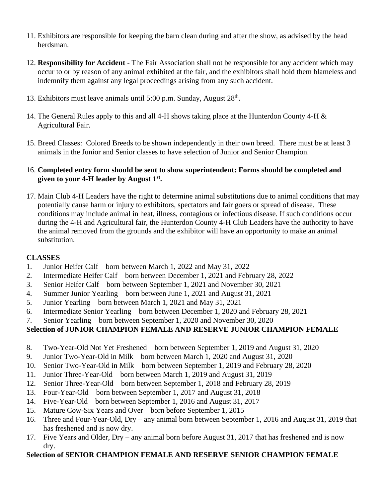- 11. Exhibitors are responsible for keeping the barn clean during and after the show, as advised by the head herdsman.
- 12. **Responsibility for Accident**  The Fair Association shall not be responsible for any accident which may occur to or by reason of any animal exhibited at the fair, and the exhibitors shall hold them blameless and indemnify them against any legal proceedings arising from any such accident.
- 13. Exhibitors must leave animals until 5:00 p.m. Sunday, August 28<sup>th</sup>.
- 14. The General Rules apply to this and all 4-H shows taking place at the Hunterdon County 4-H & Agricultural Fair.
- 15. Breed Classes: Colored Breeds to be shown independently in their own breed. There must be at least 3 animals in the Junior and Senior classes to have selection of Junior and Senior Champion.

#### 16. **Completed entry form should be sent to show superintendent: Forms should be completed and given to your 4-H leader by August 1 st .**

17. Main Club 4-H Leaders have the right to determine animal substitutions due to animal conditions that may potentially cause harm or injury to exhibitors, spectators and fair goers or spread of disease. These conditions may include animal in heat, illness, contagious or infectious disease. If such conditions occur during the 4-H and Agricultural fair, the Hunterdon County 4-H Club Leaders have the authority to have the animal removed from the grounds and the exhibitor will have an opportunity to make an animal substitution.

# **CLASSES**

- 1. Junior Heifer Calf born between March 1, 2022 and May 31, 2022
- 2. Intermediate Heifer Calf born between December 1, 2021 and February 28, 2022
- 3. Senior Heifer Calf born between September 1, 2021 and November 30, 2021
- 4. Summer Junior Yearling born between June 1, 2021 and August 31, 2021
- 5. Junior Yearling born between March 1, 2021 and May 31, 2021
- 6. Intermediate Senior Yearling born between December 1, 2020 and February 28, 2021
- 7. Senior Yearling born between September 1, 2020 and November 30, 2020

# **Selection of JUNIOR CHAMPION FEMALE AND RESERVE JUNIOR CHAMPION FEMALE**

- 8. Two-Year-Old Not Yet Freshened born between September 1, 2019 and August 31, 2020
- 9. Junior Two-Year-Old in Milk born between March 1, 2020 and August 31, 2020
- 10. Senior Two-Year-Old in Milk born between September 1, 2019 and February 28, 2020
- 11. Junior Three-Year-Old born between March 1, 2019 and August 31, 2019
- 12. Senior Three-Year-Old born between September 1, 2018 and February 28, 2019
- 13. Four-Year-Old born between September 1, 2017 and August 31, 2018
- 14. Five-Year-Old born between September 1, 2016 and August 31, 2017
- 15. Mature Cow-Six Years and Over born before September 1, 2015
- 16. Three and Four-Year-Old, Dry any animal born between September 1, 2016 and August 31, 2019 that has freshened and is now dry.
- 17. Five Years and Older, Dry any animal born before August 31, 2017 that has freshened and is now dry.

# **Selection of SENIOR CHAMPION FEMALE AND RESERVE SENIOR CHAMPION FEMALE**